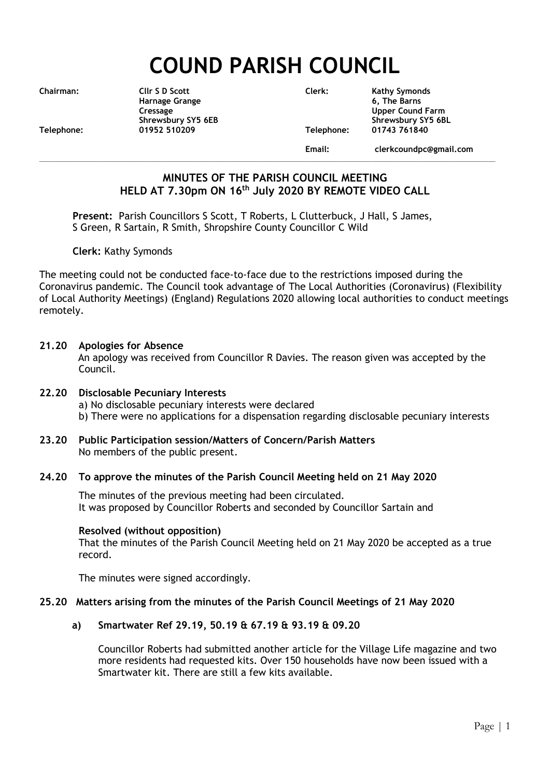# **COUND PARISH COUNCIL**

**Telephone: 01952 510209 Telephone: 01743 761840**

**Chairman: Cllr S D Scott Clerk: Kathy Symonds Harnage Grange 6, The Barns Cressage Upper Cound Farm** Shrewsbury SY5 6EB<br>1952 510209 Telephone: 01743 761840

**\_\_\_\_\_\_\_\_\_\_\_\_\_\_\_\_\_\_\_\_\_\_\_\_\_\_\_\_\_\_\_\_\_\_\_\_\_\_\_\_\_\_\_\_\_\_\_\_\_\_\_\_\_\_\_\_\_\_\_\_\_\_\_\_\_\_\_\_\_\_\_\_\_\_\_\_\_\_\_\_\_\_\_\_\_\_\_\_\_\_\_\_\_\_\_\_\_\_\_\_\_\_\_\_\_\_\_\_\_\_\_**

**Email: clerkcoundpc@gmail.com**

# **MINUTES OF THE PARISH COUNCIL MEETING HELD AT 7.30pm ON 16 th July 2020 BY REMOTE VIDEO CALL**

**Present:** Parish Councillors S Scott, T Roberts, L Clutterbuck, J Hall, S James, S Green, R Sartain, R Smith, Shropshire County Councillor C Wild

**Clerk:** Kathy Symonds

The meeting could not be conducted face-to-face due to the restrictions imposed during the Coronavirus pandemic. The Council took advantage of The Local Authorities (Coronavirus) (Flexibility of Local Authority Meetings) (England) Regulations 2020 allowing local authorities to conduct meetings remotely.

# **21.20 Apologies for Absence**

An apology was received from Councillor R Davies. The reason given was accepted by the Council.

# **22.20 Disclosable Pecuniary Interests**

a) No disclosable pecuniary interests were declared

- b) There were no applications for a dispensation regarding disclosable pecuniary interests
- **23.20 Public Participation session/Matters of Concern/Parish Matters** No members of the public present.

# **24.20 To approve the minutes of the Parish Council Meeting held on 21 May 2020**

The minutes of the previous meeting had been circulated. It was proposed by Councillor Roberts and seconded by Councillor Sartain and

# **Resolved (without opposition)**

That the minutes of the Parish Council Meeting held on 21 May 2020 be accepted as a true record.

The minutes were signed accordingly.

# **25.20 Matters arising from the minutes of the Parish Council Meetings of 21 May 2020**

# **a) Smartwater Ref 29.19, 50.19 & 67.19 & 93.19 & 09.20**

Councillor Roberts had submitted another article for the Village Life magazine and two more residents had requested kits. Over 150 households have now been issued with a Smartwater kit. There are still a few kits available.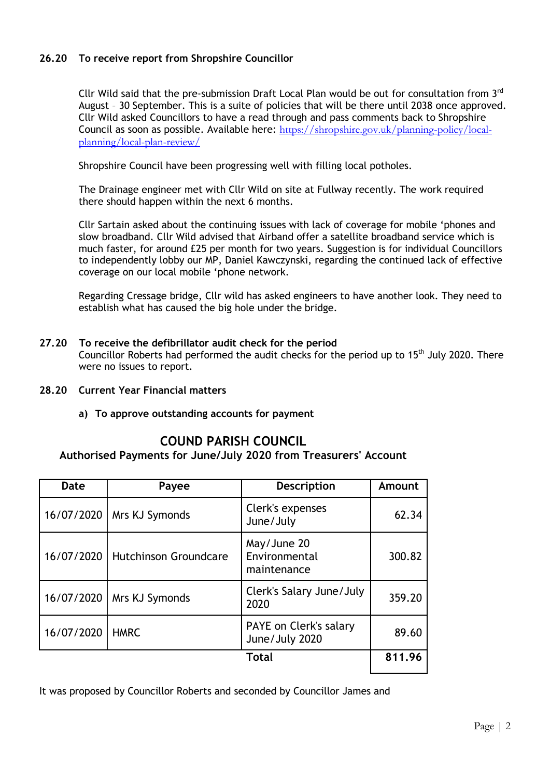# **26.20 To receive report from Shropshire Councillor**

Cllr Wild said that the pre-submission Draft Local Plan would be out for consultation from 3rd August – 30 September. This is a suite of policies that will be there until 2038 once approved. Cllr Wild asked Councillors to have a read through and pass comments back to Shropshire Council as soon as possible. Available here: [https://shropshire.gov.uk/planning-policy/local](https://shropshire.gov.uk/planning-policy/local-planning/local-plan-review/)[planning/local-plan-review/](https://shropshire.gov.uk/planning-policy/local-planning/local-plan-review/)

Shropshire Council have been progressing well with filling local potholes.

The Drainage engineer met with Cllr Wild on site at Fullway recently. The work required there should happen within the next 6 months.

Cllr Sartain asked about the continuing issues with lack of coverage for mobile 'phones and slow broadband. Cllr Wild advised that Airband offer a satellite broadband service which is much faster, for around £25 per month for two years. Suggestion is for individual Councillors to independently lobby our MP, Daniel Kawczynski, regarding the continued lack of effective coverage on our local mobile 'phone network.

Regarding Cressage bridge, Cllr wild has asked engineers to have another look. They need to establish what has caused the big hole under the bridge.

- **27.20 To receive the defibrillator audit check for the period** Councillor Roberts had performed the audit checks for the period up to  $15<sup>th</sup>$  July 2020. There were no issues to report.
- **28.20 Current Year Financial matters**
	- **a) To approve outstanding accounts for payment**

# **COUND PARISH COUNCIL**

# **Authorised Payments for June/July 2020 from Treasurers' Account**

| Date       | Payee                        | <b>Description</b>                          | Amount |
|------------|------------------------------|---------------------------------------------|--------|
| 16/07/2020 | Mrs KJ Symonds               | Clerk's expenses<br>June/July               | 62.34  |
| 16/07/2020 | <b>Hutchinson Groundcare</b> | May/June 20<br>Environmental<br>maintenance | 300.82 |
| 16/07/2020 | Mrs KJ Symonds               | Clerk's Salary June/July<br>2020            | 359.20 |
| 16/07/2020 | <b>HMRC</b>                  | PAYE on Clerk's salary<br>June/July 2020    | 89.60  |
| Total      |                              |                                             | 811.96 |

It was proposed by Councillor Roberts and seconded by Councillor James and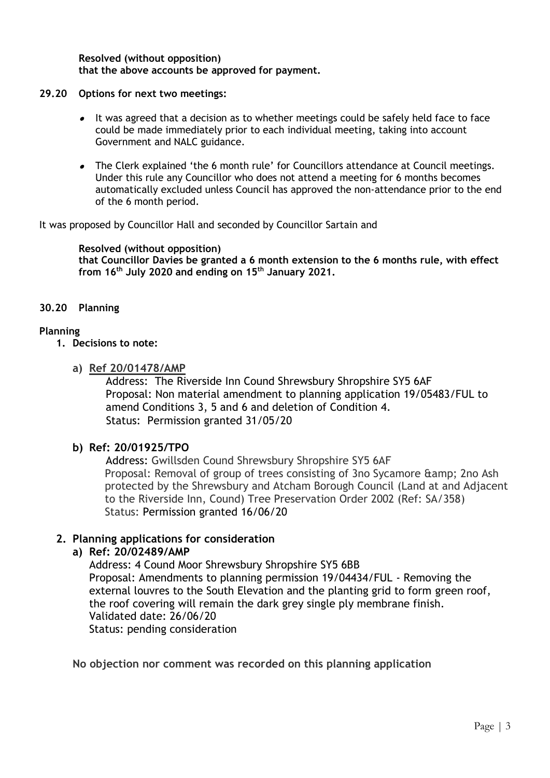#### **Resolved (without opposition) that the above accounts be approved for payment.**

# **29.20 Options for next two meetings:**

- It was agreed that a decision as to whether meetings could be safely held face to face could be made immediately prior to each individual meeting, taking into account Government and NALC guidance.
- The Clerk explained 'the 6 month rule' for Councillors attendance at Council meetings. Under this rule any Councillor who does not attend a meeting for 6 months becomes automatically excluded unless Council has approved the non-attendance prior to the end of the 6 month period.

It was proposed by Councillor Hall and seconded by Councillor Sartain and

**Resolved (without opposition) that Councillor Davies be granted a 6 month extension to the 6 months rule, with effect from 16 th July 2020 and ending on 15 th January 2021.** 

# **30.20 Planning**

# **Planning**

- **1. Decisions to note:** 
	- **a) Ref 20/01478/AMP**

Address: The Riverside Inn Cound Shrewsbury Shropshire SY5 6AF Proposal: Non material amendment to planning application 19/05483/FUL to amend Conditions 3, 5 and 6 and deletion of Condition 4. Status: Permission granted 31/05/20

# **b) Ref: 20/01925/TPO**

Address: Gwillsden Cound Shrewsbury Shropshire SY5 6AF Proposal: Removal of group of trees consisting of 3no Sycamore & 2no 2no Ash protected by the Shrewsbury and Atcham Borough Council (Land at and Adjacent to the Riverside Inn, Cound) Tree Preservation Order 2002 (Ref: SA/358) Status: Permission granted 16/06/20

# **2. Planning applications for consideration**

# **a) Ref: 20/02489/AMP**

Address: 4 Cound Moor Shrewsbury Shropshire SY5 6BB Proposal: Amendments to planning permission 19/04434/FUL - Removing the external louvres to the South Elevation and the planting grid to form green roof, the roof covering will remain the dark grey single ply membrane finish. Validated date: 26/06/20 Status: pending consideration

**No objection nor comment was recorded on this planning application**